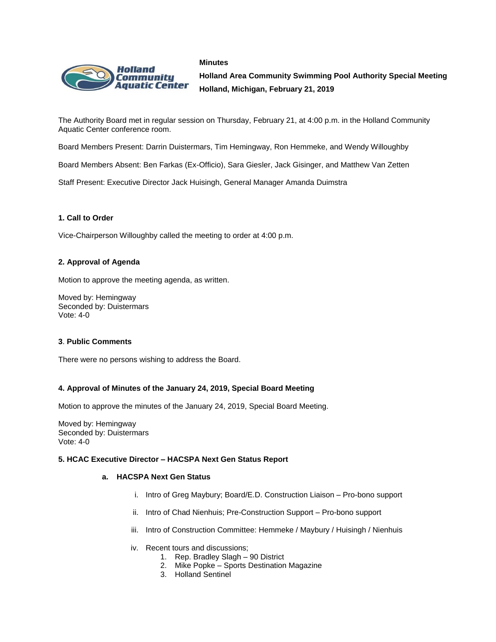



**Holland Area Community Swimming Pool Authority Special Meeting Holland, Michigan, February 21, 2019**

The Authority Board met in regular session on Thursday, February 21, at 4:00 p.m. in the Holland Community Aquatic Center conference room.

Board Members Present: Darrin Duistermars, Tim Hemingway, Ron Hemmeke, and Wendy Willoughby

Board Members Absent: Ben Farkas (Ex-Officio), Sara Giesler, Jack Gisinger, and Matthew Van Zetten

Staff Present: Executive Director Jack Huisingh, General Manager Amanda Duimstra

# **1. Call to Order**

Vice-Chairperson Willoughby called the meeting to order at 4:00 p.m.

### **2. Approval of Agenda**

Motion to approve the meeting agenda, as written.

Moved by: Hemingway Seconded by: Duistermars Vote: 4-0

### **3**. **Public Comments**

There were no persons wishing to address the Board.

# **4. Approval of Minutes of the January 24, 2019, Special Board Meeting**

Motion to approve the minutes of the January 24, 2019, Special Board Meeting.

Moved by: Hemingway Seconded by: Duistermars Vote: 4-0

## **5. HCAC Executive Director – HACSPA Next Gen Status Report**

### **a. HACSPA Next Gen Status**

- i. Intro of Greg Maybury; Board/E.D. Construction Liaison Pro-bono support
- ii. Intro of Chad Nienhuis; Pre-Construction Support Pro-bono support
- iii. Intro of Construction Committee: Hemmeke / Maybury / Huisingh / Nienhuis
- iv. Recent tours and discussions;
	- 1. Rep. Bradley Slagh 90 District
	- 2. Mike Popke Sports Destination Magazine
	- 3. Holland Sentinel